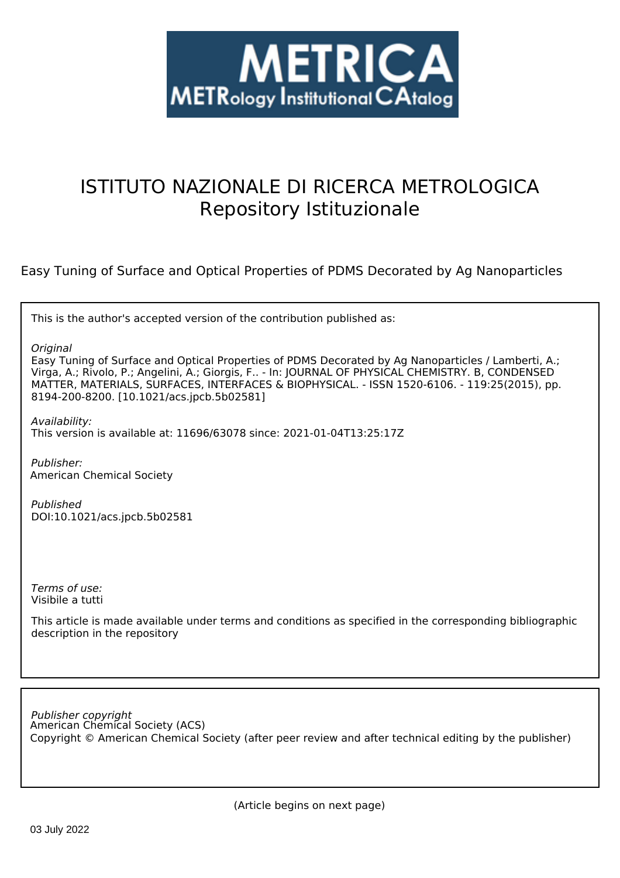

# ISTITUTO NAZIONALE DI RICERCA METROLOGICA Repository Istituzionale

Easy Tuning of Surface and Optical Properties of PDMS Decorated by Ag Nanoparticles

This is the author's accepted version of the contribution published as:

*Original*

Easy Tuning of Surface and Optical Properties of PDMS Decorated by Ag Nanoparticles / Lamberti, A.; Virga, A.; Rivolo, P.; Angelini, A.; Giorgis, F.. - In: JOURNAL OF PHYSICAL CHEMISTRY. B, CONDENSED MATTER, MATERIALS, SURFACES, INTERFACES & BIOPHYSICAL. - ISSN 1520-6106. - 119:25(2015), pp. 8194-200-8200. [10.1021/acs.jpcb.5b02581]

*Availability:* This version is available at: 11696/63078 since: 2021-01-04T13:25:17Z

*Publisher:* American Chemical Society

*Published* DOI:10.1021/acs.jpcb.5b02581

*Terms of use:* Visibile a tutti

This article is made available under terms and conditions as specified in the corresponding bibliographic description in the repository

American Chemical Society (ACS) *Publisher copyright* Copyright © American Chemical Society (after peer review and after technical editing by the publisher)

(Article begins on next page)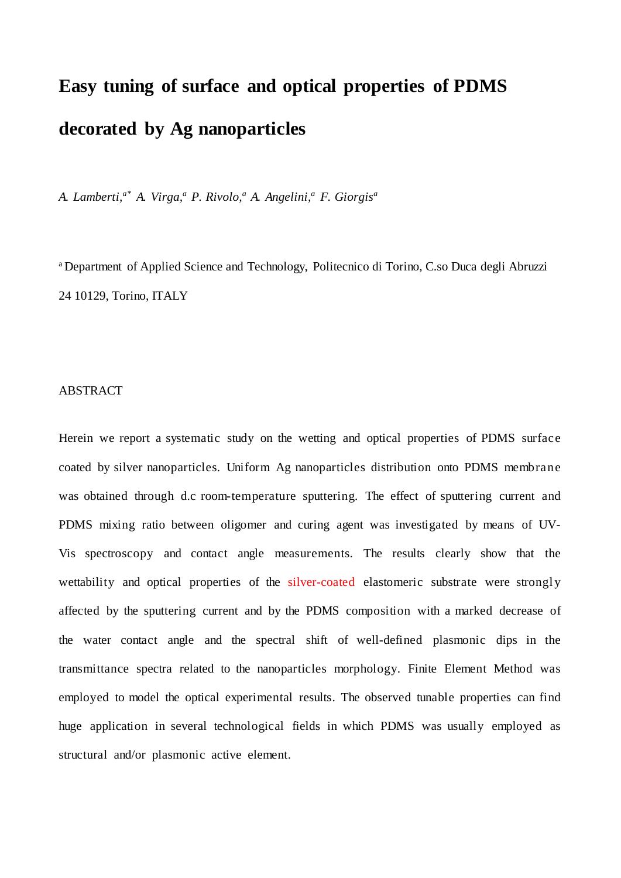# **Easy tuning of surface and optical properties of PDMS decorated by Ag nanoparticles**

*A. Lamberti,a\* A. Virga,a P. Rivolo,a A. Angelini,a F. Giorgisa*

a Department of Applied Science and Technology, Politecnico di Torino, C.so Duca degli Abruzzi 24 10129, Torino, ITALY

### ABSTRACT

Herein we report a systematic study on the wetting and optical properties of PDMS surface coated by silver nanoparticles. Uniform Ag nanoparticles distribution onto PDMS membrane was obtained through d.c room-temperature sputtering. The effect of sputtering current and PDMS mixing ratio between oligomer and curing agent was investigated by means of UV-Vis spectroscopy and contact angle measurements. The results clearly show that the wettability and optical properties of the silver-coated elastomeric substrate were strongly affected by the sputtering current and by the PDMS composition with a marked decrease of the water contact angle and the spectral shift of well-defined plasmonic dips in the transmittance spectra related to the nanoparticles morphology. Finite Element Method was employed to model the optical experimental results. The observed tunable properties can find huge application in several technological fields in which PDMS was usually employed as structural and/or plasmonic active element.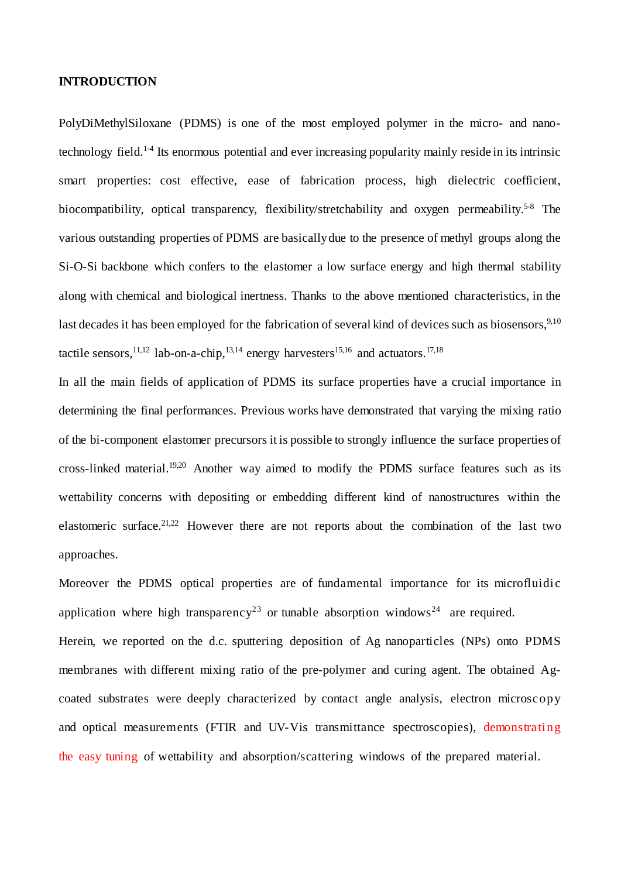#### **INTRODUCTION**

PolyDiMethylSiloxane (PDMS) is one of the most employed polymer in the micro- and nanotechnology field.1-4 Its enormous potential and ever increasing popularity mainly reside in its intrinsic smart properties: cost effective, ease of fabrication process, high dielectric coefficient, biocompatibility, optical transparency, flexibility/stretchability and oxygen permeability.<sup>5-8</sup> The various outstanding properties of PDMS are basically due to the presence of methyl groups along the Si-O-Si backbone which confers to the elastomer a low surface energy and high thermal stability along with chemical and biological inertness. Thanks to the above mentioned characteristics, in the last decades it has been employed for the fabrication of several kind of devices such as biosensors,<sup>9,10</sup> tactile sensors,<sup>11,12</sup> lab-on-a-chip,<sup>13,14</sup> energy harvesters<sup>15,16</sup> and actuators.<sup>17,18</sup>

In all the main fields of application of PDMS its surface properties have a crucial importance in determining the final performances. Previous works have demonstrated that varying the mixing ratio of the bi-component elastomer precursors it is possible to strongly influence the surface properties of cross-linked material.19,20 Another way aimed to modify the PDMS surface features such as its wettability concerns with depositing or embedding different kind of nanostructures within the elastomeric surface.21,22 However there are not reports about the combination of the last two approaches.

Moreover the PDMS optical properties are of fundamental importance for its microfluidic application where high transparency<sup>23</sup> or tunable absorption windows<sup>24</sup> are required. Herein, we reported on the d.c. sputtering deposition of Ag nanoparticles (NPs) onto PDMS membranes with different mixing ratio of the pre-polymer and curing agent. The obtained Agcoated substrates were deeply characterized by contact angle analysis, electron microscopy and optical measurements (FTIR and UV-Vis transmittance spectroscopies), demonstrating the easy tuning of wettability and absorption/scattering windows of the prepared material.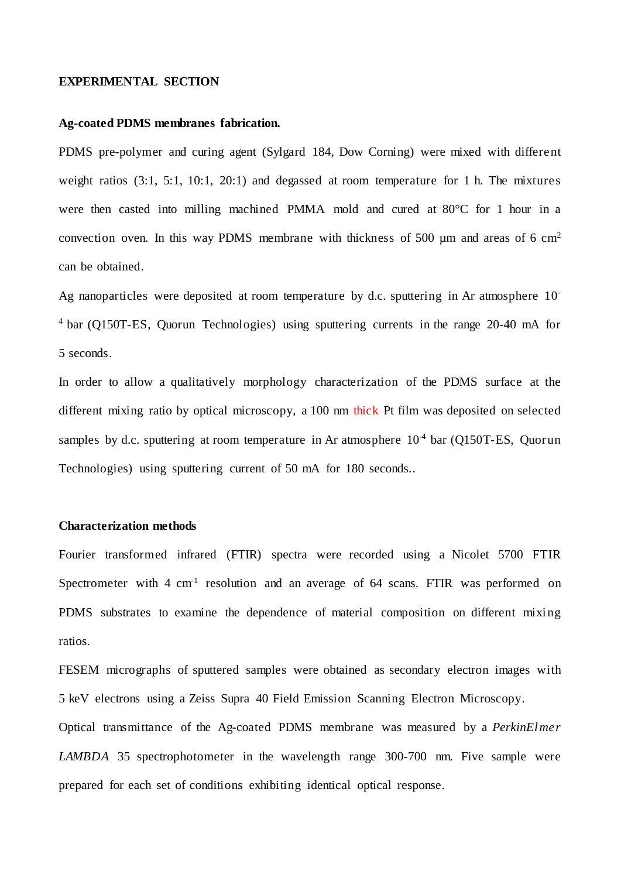#### **EXPERIMENTAL SECTION**

#### **Ag-coated PDMS membranes fabrication.**

PDMS pre-polymer and curing agent (Sylgard 184, Dow Corning) were mixed with different weight ratios (3:1, 5:1, 10:1, 20:1) and degassed at room temperature for 1 h. The mixtures were then casted into milling machined PMMA mold and cured at 80°C for 1 hour in a convection oven. In this way PDMS membrane with thickness of 500  $\mu$ m and areas of 6 cm<sup>2</sup> can be obtained.

Ag nanoparticles were deposited at room temperature by d.c. sputtering in Ar atmosphere 10- <sup>4</sup> bar (Q150T-ES, Quorun Technologies) using sputtering currents in the range 20-40 mA for 5 seconds.

In order to allow a qualitatively morphology characterization of the PDMS surface at the different mixing ratio by optical microscopy, a 100 nm thick Pt film was deposited on selected samples by d.c. sputtering at room temperature in Ar atmosphere  $10^{-4}$  bar (Q150T-ES, Quorun Technologies) using sputtering current of 50 mA for 180 seconds..

#### **Characterization methods**

Fourier transformed infrared (FTIR) spectra were recorded using a Nicolet 5700 FTIR Spectrometer with  $4 \text{ cm}^1$  resolution and an average of 64 scans. FTIR was performed on PDMS substrates to examine the dependence of material composition on different mixing ratios.

FESEM micrographs of sputtered samples were obtained as secondary electron images with 5 keV electrons using a Zeiss Supra 40 Field Emission Scanning Electron Microscopy. Optical transmittance of the Ag-coated PDMS membrane was measured by a *PerkinElmer LAMBDA* 35 spectrophotometer in the wavelength range 300-700 nm. Five sample were prepared for each set of conditions exhibiting identical optical response.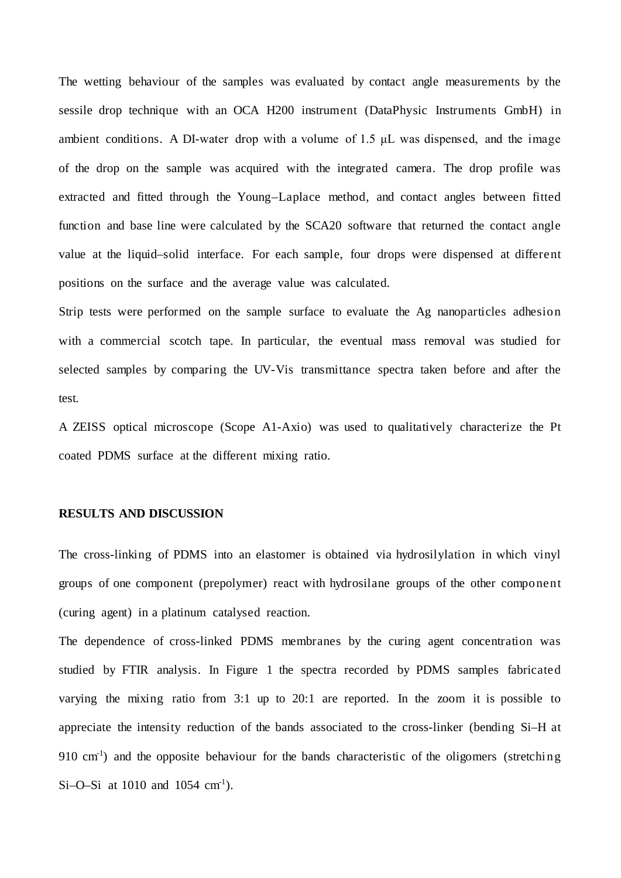The wetting behaviour of the samples was evaluated by contact angle measurements by the sessile drop technique with an OCA H200 instrument (DataPhysic Instruments GmbH) in ambient conditions. A DI-water drop with a volume of  $1.5 \mu$ L was dispensed, and the image of the drop on the sample was acquired with the integrated camera. The drop profile was extracted and fitted through the Young–Laplace method, and contact angles between fitted function and base line were calculated by the SCA20 software that returned the contact angle value at the liquid–solid interface. For each sample, four drops were dispensed at different positions on the surface and the average value was calculated.

Strip tests were performed on the sample surface to evaluate the Ag nanoparticles adhesion with a commercial scotch tape. In particular, the eventual mass removal was studied for selected samples by comparing the UV-Vis transmittance spectra taken before and after the test.

A ZEISS optical microscope (Scope A1-Axio) was used to qualitatively characterize the Pt coated PDMS surface at the different mixing ratio.

#### **RESULTS AND DISCUSSION**

The cross-linking of PDMS into an elastomer is obtained via hydrosilylation in which vinyl groups of one component (prepolymer) react with hydrosilane groups of the other component (curing agent) in a platinum catalysed reaction.

The dependence of cross-linked PDMS membranes by the curing agent concentration was studied by FTIR analysis. In Figure 1 the spectra recorded by PDMS samples fabricated varying the mixing ratio from 3:1 up to 20:1 are reported. In the zoom it is possible to appreciate the intensity reduction of the bands associated to the cross-linker (bending Si–H at 910 cm<sup>-1</sup>) and the opposite behaviour for the bands characteristic of the oligomers (stretching Si-O-Si at 1010 and 1054  $\text{cm}^1$ ).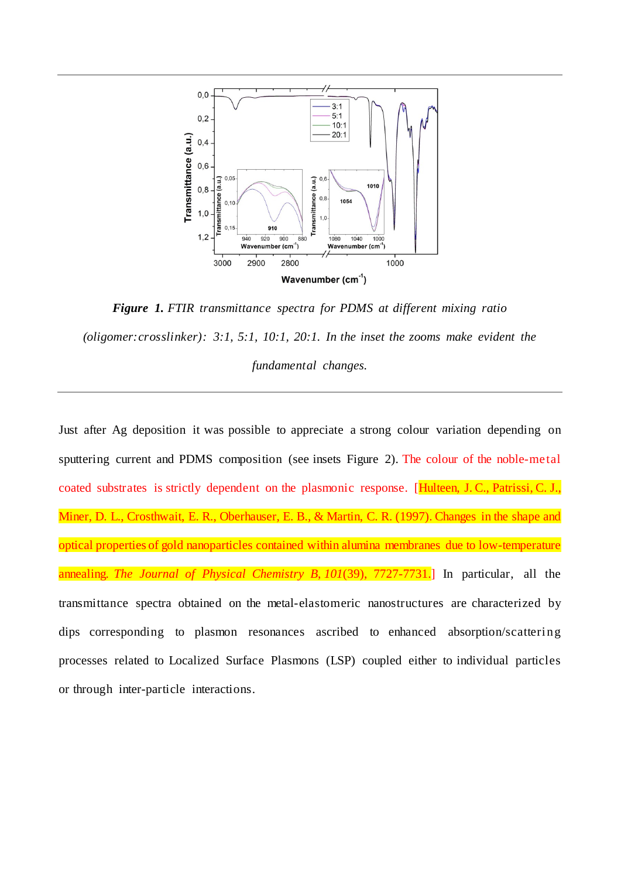

*Figure 1. FTIR transmittance spectra for PDMS at different mixing ratio (oligomer:crosslinker): 3:1, 5:1, 10:1, 20:1. In the inset the zooms make evident the fundamental changes.*

Just after Ag deposition it was possible to appreciate a strong colour variation depending on sputtering current and PDMS composition (see insets Figure 2). The colour of the noble-metal coated substrates is strictly dependent on the plasmonic response. [Hulteen, J. C., Patrissi, C. J., Miner, D. L., Crosthwait, E. R., Oberhauser, E. B., & Martin, C. R. (1997). Changes in the shape and optical properties of gold nanoparticles contained within alumina membranes due to low-temperature annealing. *The Journal of Physical Chemistry B*, *101*(39), 7727-7731.] In particular, all the transmittance spectra obtained on the metal-elastomeric nanostructures are characterized by dips corresponding to plasmon resonances ascribed to enhanced absorption/scattering processes related to Localized Surface Plasmons (LSP) coupled either to individual particles or through inter-particle interactions.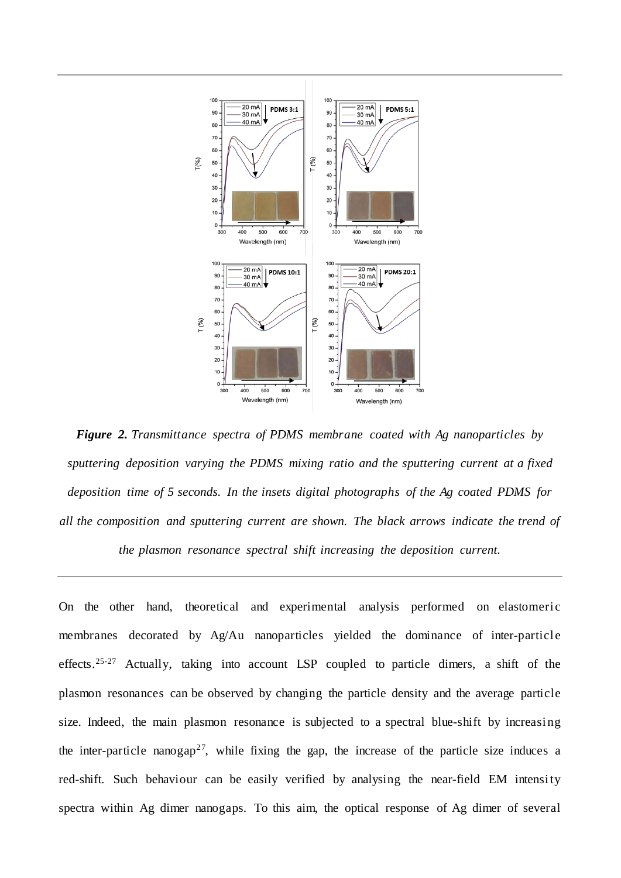

*Figure 2. Transmittance spectra of PDMS membrane coated with Ag nanoparticles by sputtering deposition varying the PDMS mixing ratio and the sputtering current at a fixed deposition time of 5 seconds. In the insets digital photographs of the Ag coated PDMS for all the composition and sputtering current are shown. The black arrows indicate the trend of* 

*the plasmon resonance spectral shift increasing the deposition current.*

On the other hand, theoretical and experimental analysis performed on elastomeric membranes decorated by Ag/Au nanoparticles yielded the dominance of inter-particle effects.<sup>25-27</sup> Actually, taking into account LSP coupled to particle dimers, a shift of the plasmon resonances can be observed by changing the particle density and the average particle size. Indeed, the main plasmon resonance is subjected to a spectral blue-shift by increasing the inter-particle nanogap<sup>27</sup>, while fixing the gap, the increase of the particle size induces a red-shift. Such behaviour can be easily verified by analysing the near-field EM intensity spectra within Ag dimer nanogaps. To this aim, the optical response of Ag dimer of several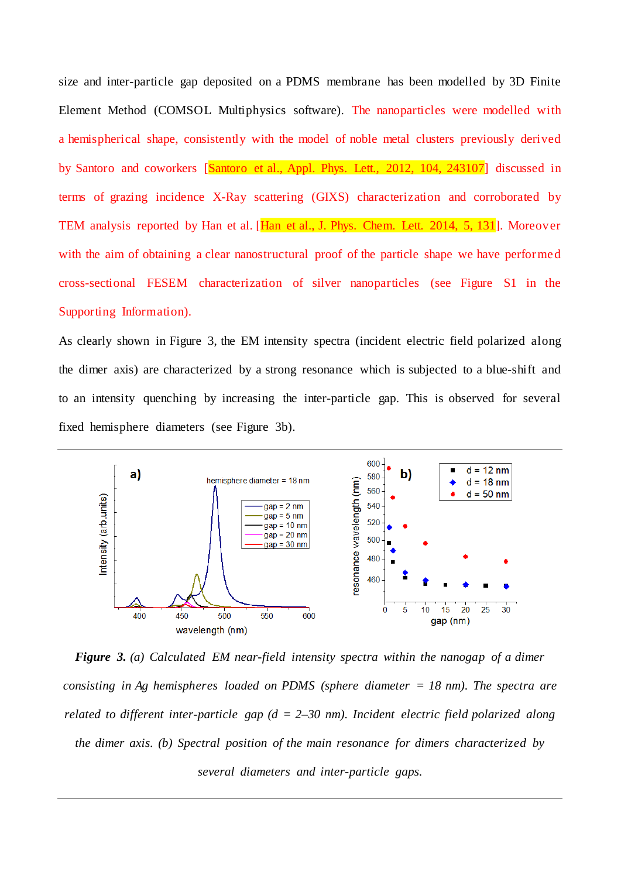size and inter-particle gap deposited on a PDMS membrane has been modelled by 3D Finite Element Method (COMSOL Multiphysics software). The nanoparticles were modelled with a hemispherical shape, consistently with the model of noble metal clusters previously derived by Santoro and coworkers [Santoro et al., Appl. Phys. Lett., 2012, 104, 243107] discussed in terms of grazing incidence X-Ray scattering (GIXS) characterization and corroborated by TEM analysis reported by Han et al. [Han et al., J. Phys. Chem. Lett. 2014, 5, 131]. Moreover with the aim of obtaining a clear nanostructural proof of the particle shape we have performed cross-sectional FESEM characterization of silver nanoparticles (see Figure S1 in the Supporting Information).

As clearly shown in Figure 3, the EM intensity spectra (incident electric field polarized along the dimer axis) are characterized by a strong resonance which is subjected to a blue-shift and to an intensity quenching by increasing the inter-particle gap. This is observed for several fixed hemisphere diameters (see Figure 3b).



*Figure 3. (a) Calculated EM near-field intensity spectra within the nanogap of a dimer consisting in Ag hemispheres loaded on PDMS (sphere diameter = 18 nm). The spectra are related to different inter-particle gap (d = 2–30 nm). Incident electric field polarized along the dimer axis. (b) Spectral position of the main resonance for dimers characterized by several diameters and inter-particle gaps.*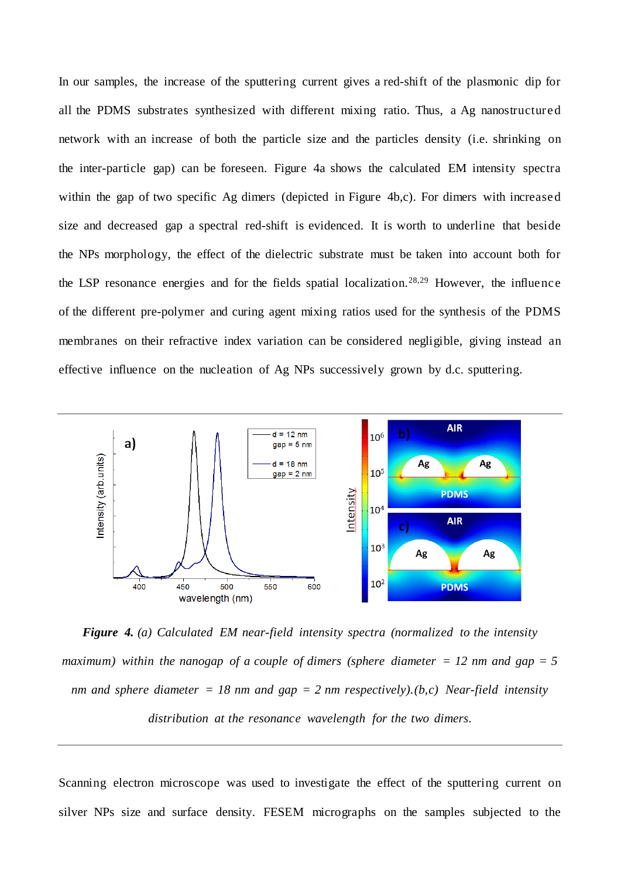In our samples, the increase of the sputtering current gives a red-shift of the plasmonic dip for all the PDMS substrates synthesized with different mixing ratio. Thus, a Ag nanostructured network with an increase of both the particle size and the particles density (i.e. shrinking on the inter-particle gap) can be foreseen. Figure 4a shows the calculated EM intensity spectra within the gap of two specific Ag dimers (depicted in Figure 4b,c). For dimers with increased size and decreased gap a spectral red-shift is evidenced. It is worth to underline that beside the NPs morphology, the effect of the dielectric substrate must be taken into account both for the LSP resonance energies and for the fields spatial localization.28,29 However, the influence of the different pre-polymer and curing agent mixing ratios used for the synthesis of the PDMS membranes on their refractive index variation can be considered negligible, giving instead an effective influence on the nucleation of Ag NPs successively grown by d.c. sputtering.



*Figure 4. (a) Calculated EM near-field intensity spectra (normalized to the intensity maximum*) within the nanogap of a couple of dimers (sphere diameter  $= 12$  nm and gap  $= 5$ *nm and sphere diameter = 18 nm and gap = 2 nm respectively).(b,c) Near-field intensity distribution at the resonance wavelength for the two dimers.*

Scanning electron microscope was used to investigate the effect of the sputtering current on silver NPs size and surface density. FESEM micrographs on the samples subjected to the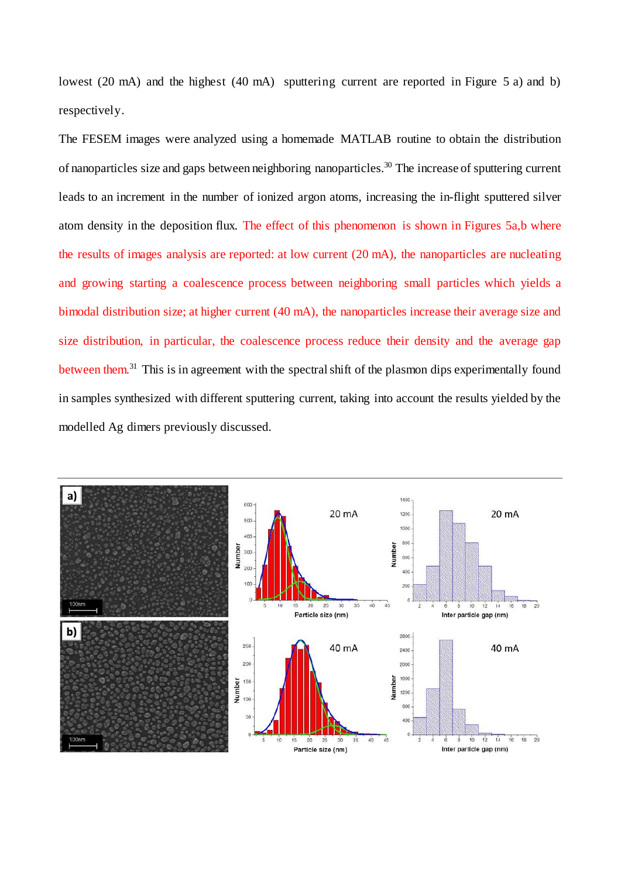lowest (20 mA) and the highest (40 mA) sputtering current are reported in Figure 5 a) and b) respectively.

The FESEM images were analyzed using a homemade MATLAB routine to obtain the distribution of nanoparticles size and gaps between neighboring nanoparticles.30 The increase of sputtering current leads to an increment in the number of ionized argon atoms, increasing the in-flight sputtered silver atom density in the deposition flux. The effect of this phenomenon is shown in Figures 5a,b where the results of images analysis are reported: at low current (20 mA), the nanoparticles are nucleating and growing starting a coalescence process between neighboring small particles which yields a bimodal distribution size; at higher current (40 mA), the nanoparticles increase their average size and size distribution, in particular, the coalescence process reduce their density and the average gap between them.<sup>31</sup> This is in agreement with the spectral shift of the plasmon dips experimentally found in samples synthesized with different sputtering current, taking into account the results yielded by the modelled Ag dimers previously discussed.

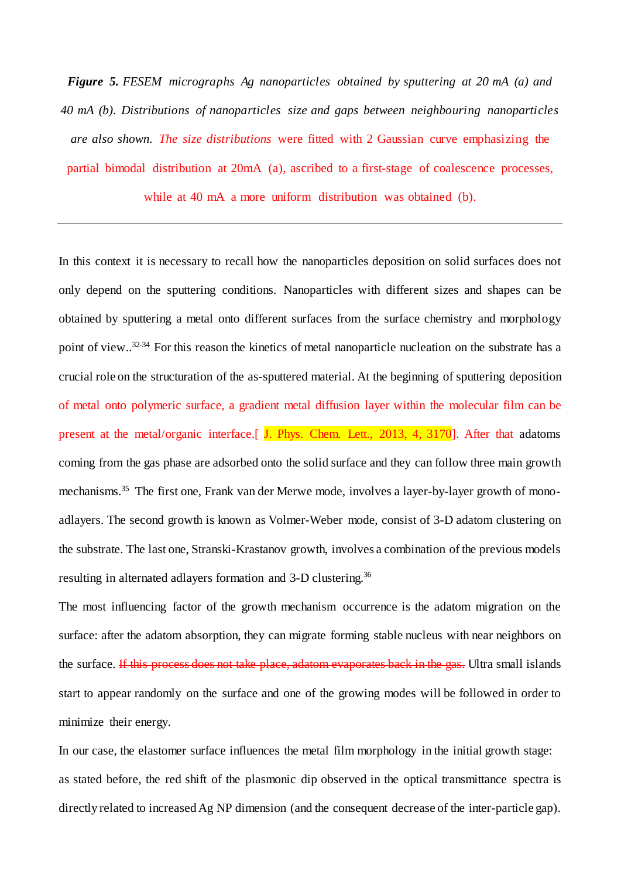*Figure 5. FESEM micrographs Ag nanoparticles obtained by sputtering at 20 mA (a) and 40 mA (b). Distributions of nanoparticles size and gaps between neighbouring nanoparticles are also shown. The size distributions* were fitted with 2 Gaussian curve emphasizing the partial bimodal distribution at 20mA (a), ascribed to a first-stage of coalescence processes, while at 40 mA a more uniform distribution was obtained (b).

In this context it is necessary to recall how the nanoparticles deposition on solid surfaces does not only depend on the sputtering conditions. Nanoparticles with different sizes and shapes can be obtained by sputtering a metal onto different surfaces from the surface chemistry and morphology point of view..<sup>32-34</sup> For this reason the kinetics of metal nanoparticle nucleation on the substrate has a crucial role on the structuration of the as-sputtered material. At the beginning of sputtering deposition of metal onto polymeric surface, a gradient metal diffusion layer within the molecular film can be present at the metal/organic interface.[ J. Phys. Chem. Lett., 2013, 4, 3170]. After that adatoms coming from the gas phase are adsorbed onto the solid surface and they can follow three main growth mechanisms.35 The first one, Frank van der Merwe mode, involves a layer-by-layer growth of monoadlayers. The second growth is known as Volmer-Weber mode, consist of 3-D adatom clustering on the substrate. The last one, Stranski-Krastanov growth, involves a combination of the previous models resulting in alternated adlayers formation and 3-D clustering.36

The most influencing factor of the growth mechanism occurrence is the adatom migration on the surface: after the adatom absorption, they can migrate forming stable nucleus with near neighbors on the surface. If this process does not take place, adatom evaporates back in the gas. Ultra small islands start to appear randomly on the surface and one of the growing modes will be followed in order to minimize their energy.

In our case, the elastomer surface influences the metal film morphology in the initial growth stage: as stated before, the red shift of the plasmonic dip observed in the optical transmittance spectra is directly related to increased Ag NP dimension (and the consequent decrease of the inter-particle gap).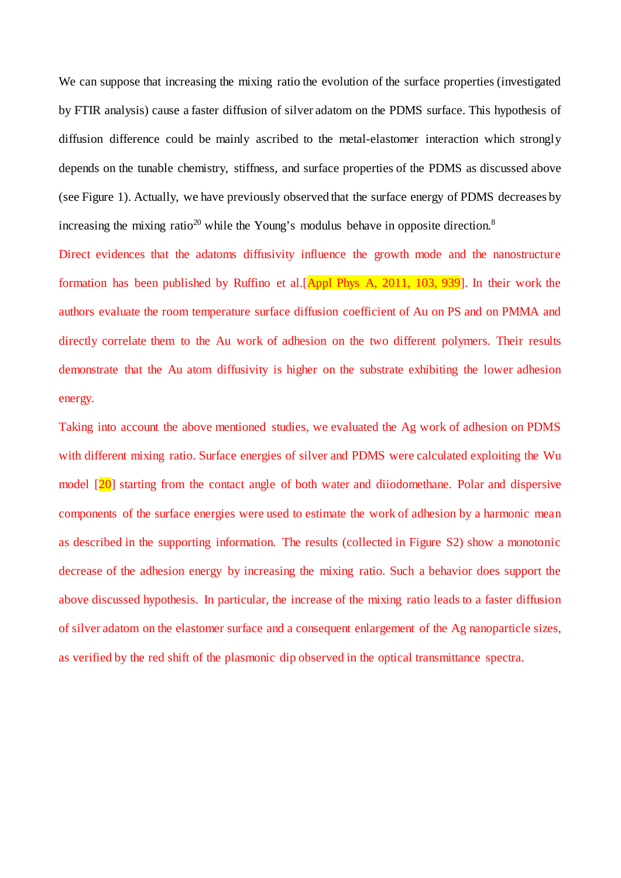We can suppose that increasing the mixing ratio the evolution of the surface properties (investigated by FTIR analysis) cause a faster diffusion of silver adatom on the PDMS surface. This hypothesis of diffusion difference could be mainly ascribed to the metal-elastomer interaction which strongly depends on the tunable chemistry, stiffness, and surface properties of the PDMS as discussed above (see Figure 1). Actually, we have previously observed that the surface energy of PDMS decreases by increasing the mixing ratio<sup>20</sup> while the Young's modulus behave in opposite direction.<sup>8</sup>

Direct evidences that the adatoms diffusivity influence the growth mode and the nanostructure formation has been published by Ruffino et al.[Appl Phys A, 2011, 103, 939]. In their work the authors evaluate the room temperature surface diffusion coefficient of Au on PS and on PMMA and directly correlate them to the Au work of adhesion on the two different polymers. Their results demonstrate that the Au atom diffusivity is higher on the substrate exhibiting the lower adhesion energy.

Taking into account the above mentioned studies, we evaluated the Ag work of adhesion on PDMS with different mixing ratio. Surface energies of silver and PDMS were calculated exploiting the Wu model [20] starting from the contact angle of both water and diiodomethane. Polar and dispersive components of the surface energies were used to estimate the work of adhesion by a harmonic mean as described in the supporting information. The results (collected in Figure S2) show a monotonic decrease of the adhesion energy by increasing the mixing ratio. Such a behavior does support the above discussed hypothesis. In particular, the increase of the mixing ratio leads to a faster diffusion of silver adatom on the elastomer surface and a consequent enlargement of the Ag nanoparticle sizes, as verified by the red shift of the plasmonic dip observed in the optical transmittance spectra.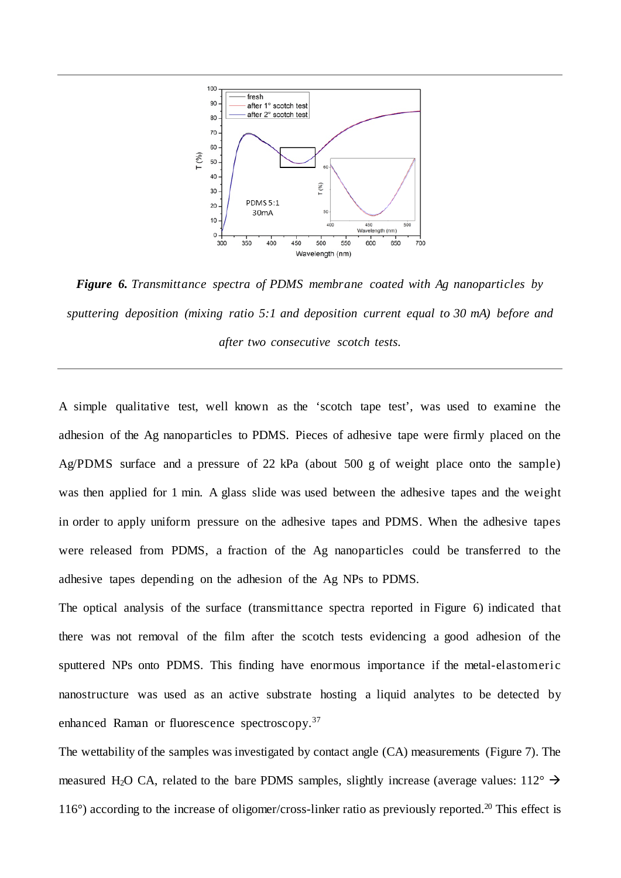

*Figure 6. Transmittance spectra of PDMS membrane coated with Ag nanoparticles by sputtering deposition (mixing ratio 5:1 and deposition current equal to 30 mA) before and after two consecutive scotch tests.*

A simple qualitative test, well known as the 'scotch tape test', was used to examine the adhesion of the Ag nanoparticles to PDMS. Pieces of adhesive tape were firmly placed on the Ag/PDMS surface and a pressure of 22 kPa (about 500 g of weight place onto the sample) was then applied for 1 min. A glass slide was used between the adhesive tapes and the weight in order to apply uniform pressure on the adhesive tapes and PDMS. When the adhesive tapes were released from PDMS, a fraction of the Ag nanoparticles could be transferred to the adhesive tapes depending on the adhesion of the Ag NPs to PDMS.

The optical analysis of the surface (transmittance spectra reported in Figure 6) indicated that there was not removal of the film after the scotch tests evidencing a good adhesion of the sputtered NPs onto PDMS. This finding have enormous importance if the metal-elastomeric nanostructure was used as an active substrate hosting a liquid analytes to be detected by enhanced Raman or fluorescence spectroscopy.37

The wettability of the samples was investigated by contact angle (CA) measurements (Figure 7). The measured H<sub>2</sub>O CA, related to the bare PDMS samples, slightly increase (average values:  $112^{\circ} \rightarrow$  $116^{\circ}$ ) according to the increase of oligomer/cross-linker ratio as previously reported.<sup>20</sup> This effect is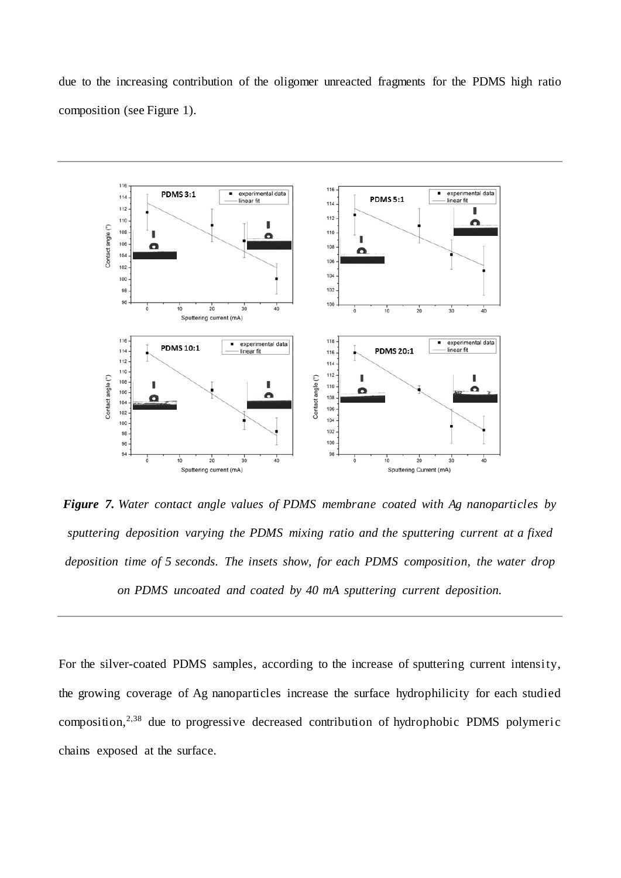due to the increasing contribution of the oligomer unreacted fragments for the PDMS high ratio composition (see Figure 1).



*Figure 7. Water contact angle values of PDMS membrane coated with Ag nanoparticles by sputtering deposition varying the PDMS mixing ratio and the sputtering current at a fixed deposition time of 5 seconds. The insets show, for each PDMS composition, the water drop on PDMS uncoated and coated by 40 mA sputtering current deposition.*

For the silver-coated PDMS samples, according to the increase of sputtering current intensity, the growing coverage of Ag nanoparticles increase the surface hydrophilicity for each studied composition,2,38 due to progressive decreased contribution of hydrophobic PDMS polymeric chains exposed at the surface.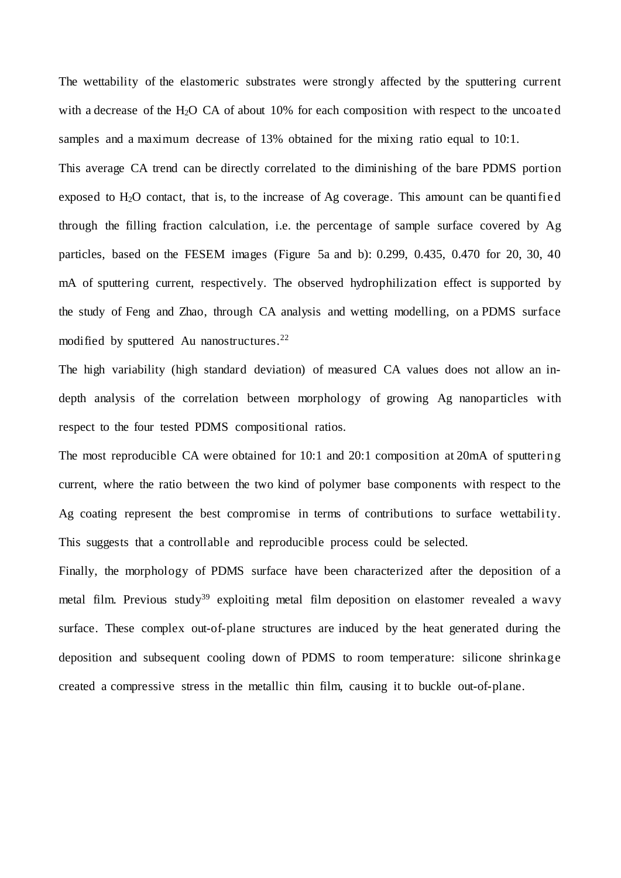The wettability of the elastomeric substrates were strongly affected by the sputtering current with a decrease of the H<sub>2</sub>O CA of about  $10\%$  for each composition with respect to the uncoated samples and a maximum decrease of 13% obtained for the mixing ratio equal to 10:1.

This average CA trend can be directly correlated to the diminishing of the bare PDMS portion exposed to  $H_2O$  contact, that is, to the increase of Ag coverage. This amount can be quantified through the filling fraction calculation, i.e. the percentage of sample surface covered by Ag particles, based on the FESEM images (Figure 5a and b): 0.299, 0.435, 0.470 for 20, 30, 40 mA of sputtering current, respectively. The observed hydrophilization effect is supported by the study of Feng and Zhao, through CA analysis and wetting modelling, on a PDMS surface modified by sputtered Au nanostructures.<sup>22</sup>

The high variability (high standard deviation) of measured CA values does not allow an indepth analysis of the correlation between morphology of growing Ag nanoparticles with respect to the four tested PDMS compositional ratios.

The most reproducible CA were obtained for 10:1 and 20:1 composition at 20mA of sputtering current, where the ratio between the two kind of polymer base components with respect to the Ag coating represent the best compromise in terms of contributions to surface wettability. This suggests that a controllable and reproducible process could be selected.

Finally, the morphology of PDMS surface have been characterized after the deposition of a metal film. Previous study<sup>39</sup> exploiting metal film deposition on elastomer revealed a wavy surface. These complex out-of-plane structures are induced by the heat generated during the deposition and subsequent cooling down of PDMS to room temperature: silicone shrinkage created a compressive stress in the metallic thin film, causing it to buckle out-of-plane.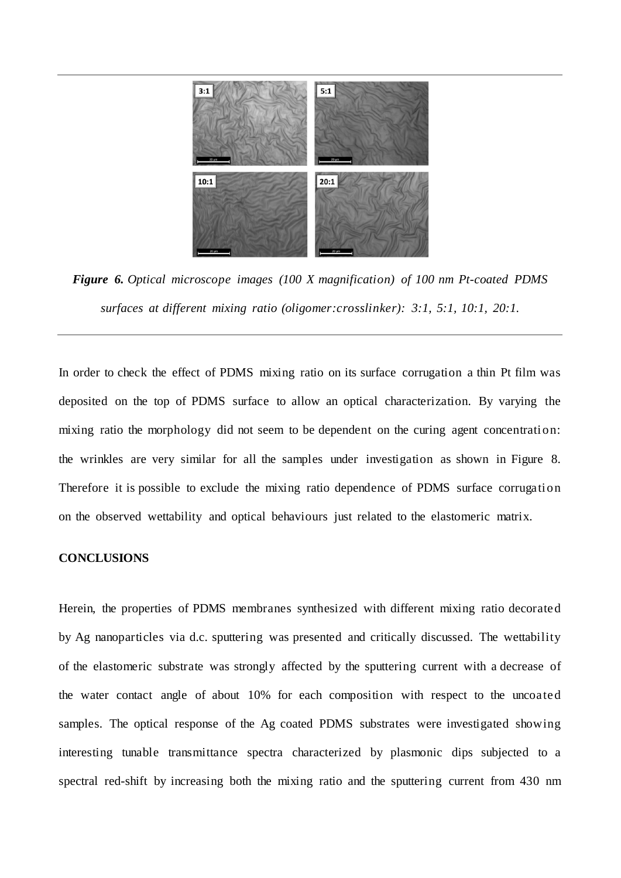

*Figure 6. Optical microscope images (100 X magnification) of 100 nm Pt-coated PDMS surfaces at different mixing ratio (oligomer:crosslinker): 3:1, 5:1, 10:1, 20:1.*

In order to check the effect of PDMS mixing ratio on its surface corrugation a thin Pt film was deposited on the top of PDMS surface to allow an optical characterization. By varying the mixing ratio the morphology did not seem to be dependent on the curing agent concentration: the wrinkles are very similar for all the samples under investigation as shown in Figure 8. Therefore it is possible to exclude the mixing ratio dependence of PDMS surface corrugation on the observed wettability and optical behaviours just related to the elastomeric matrix.

# **CONCLUSIONS**

Herein, the properties of PDMS membranes synthesized with different mixing ratio decorated by Ag nanoparticles via d.c. sputtering was presented and critically discussed. The wettability of the elastomeric substrate was strongly affected by the sputtering current with a decrease of the water contact angle of about 10% for each composition with respect to the uncoated samples. The optical response of the Ag coated PDMS substrates were investigated showing interesting tunable transmittance spectra characterized by plasmonic dips subjected to a spectral red-shift by increasing both the mixing ratio and the sputtering current from 430 nm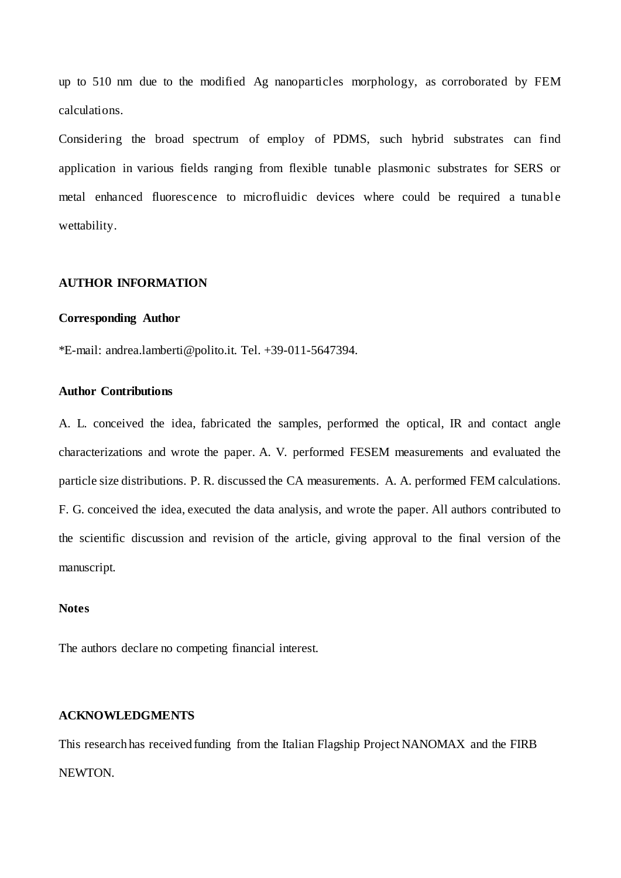up to 510 nm due to the modified Ag nanoparticles morphology, as corroborated by FEM calculations.

Considering the broad spectrum of employ of PDMS, such hybrid substrates can find application in various fields ranging from flexible tunable plasmonic substrates for SERS or metal enhanced fluorescence to microfluidic devices where could be required a tunable wettability.

# **AUTHOR INFORMATION**

# **Corresponding Author**

\*E-mail: andrea.lamberti@polito.it. Tel. +39-011-5647394.

# **Author Contributions**

A. L. conceived the idea, fabricated the samples, performed the optical, IR and contact angle characterizations and wrote the paper. A. V. performed FESEM measurements and evaluated the particle size distributions. P. R. discussed the CA measurements. A. A. performed FEM calculations. F. G. conceived the idea, executed the data analysis, and wrote the paper. All authors contributed to the scientific discussion and revision of the article, giving approval to the final version of the manuscript.

### **Notes**

The authors declare no competing financial interest.

# **ACKNOWLEDGMENTS**

This research has received funding from the Italian Flagship Project NANOMAX and the FIRB NEWTON.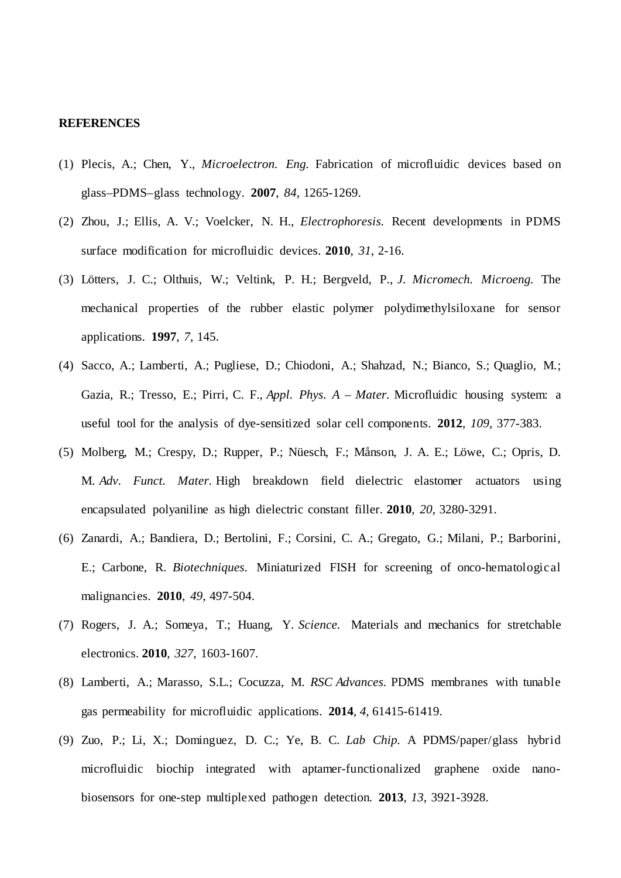# **REFERENCES**

- (1) Plecis, A.; Chen, Y., *Microelectron. Eng.* Fabrication of microfluidic devices based on glass–PDMS–glass technology. **2007**, *84*, 1265-1269.
- (2) Zhou, J.; Ellis, A. V.; Voelcker, N. H., *Electrophoresis.* Recent developments in PDMS surface modification for microfluidic devices. **2010**, *31*, 2-16.
- (3) Lötters, J. C.; Olthuis, W.; Veltink, P. H.; Bergveld, P., *J. Micromech. Microeng.* The mechanical properties of the rubber elastic polymer polydimethylsiloxane for sensor applications. **1997**, *7*, 145.
- (4) Sacco, A.; Lamberti, A.; Pugliese, D.; Chiodoni, A.; Shahzad, N.; Bianco, S.; Quaglio, M.; Gazia, R.; Tresso, E.; Pirri, C. F., *Appl. Phys. A – Mater.* Microfluidic housing system: a useful tool for the analysis of dye-sensitized solar cell components. **2012**, *109*, 377-383.
- (5) Molberg, M.; Crespy, D.; Rupper, P.; Nüesch, F.; Månson, J. A. E.; Löwe, C.; Opris, D. M. *Adv. Funct. Mater.* High breakdown field dielectric elastomer actuators using encapsulated polyaniline as high dielectric constant filler. **2010**, *20*, 3280-3291.
- (6) Zanardi, A.; Bandiera, D.; Bertolini, F.; Corsini, C. A.; Gregato, G.; Milani, P.; Barborini, E.; Carbone, R. *Biotechniques.* Miniaturized FISH for screening of onco-hematological malignancies. **2010**, *49*, 497-504.
- (7) Rogers, J. A.; Someya, T.; Huang, Y. *Science.* Materials and mechanics for stretchable electronics. **2010**, *327*, 1603-1607.
- (8) Lamberti, A.; Marasso, S.L.; Cocuzza, M. *RSC Advances.* PDMS membranes with tunable gas permeability for microfluidic applications. **2014**, *4*, 61415-61419.
- (9) Zuo, P.; Li, X.; Dominguez, D. C.; Ye, B. C. *Lab Chip.* A PDMS/paper/glass hybrid microfluidic biochip integrated with aptamer-functionalized graphene oxide nanobiosensors for one-step multiplexed pathogen detection. **2013**, *13*, 3921-3928.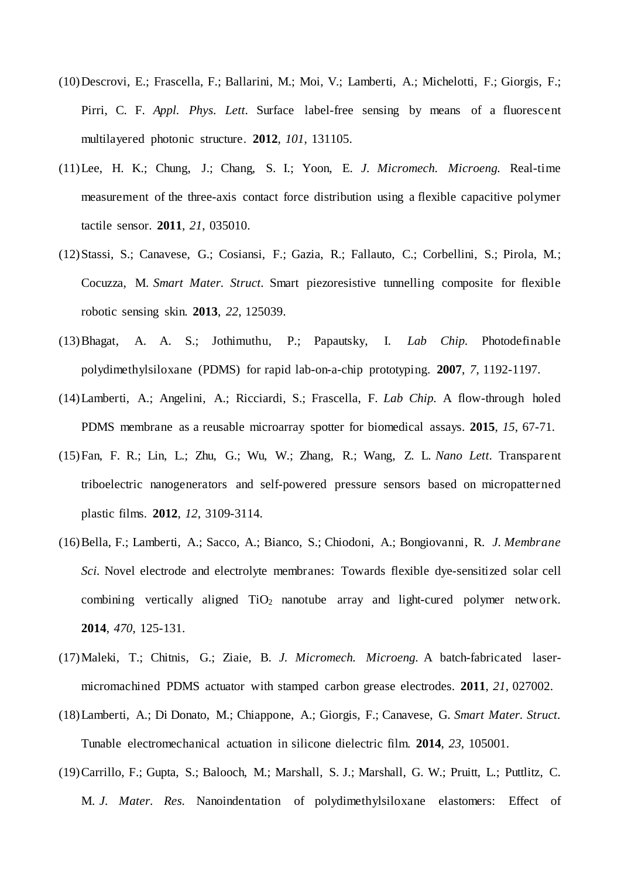- (10)Descrovi, E.; Frascella, F.; Ballarini, M.; Moi, V.; Lamberti, A.; Michelotti, F.; Giorgis, F.; Pirri, C. F. *Appl. Phys. Lett.* Surface label-free sensing by means of a fluorescent multilayered photonic structure. **2012**, *101*, 131105.
- (11)Lee, H. K.; Chung, J.; Chang, S. I.; Yoon, E. *J. Micromech. Microeng.* Real-time measurement of the three-axis contact force distribution using a flexible capacitive polymer tactile sensor. **2011**, *21*, 035010.
- (12)Stassi, S.; Canavese, G.; Cosiansi, F.; Gazia, R.; Fallauto, C.; Corbellini, S.; Pirola, M.; Cocuzza, M. *Smart Mater. Struct.* Smart piezoresistive tunnelling composite for flexible robotic sensing skin. **2013**, *22*, 125039.
- (13)Bhagat, A. A. S.; Jothimuthu, P.; Papautsky, I. *Lab Chip.* Photodefinable polydimethylsiloxane (PDMS) for rapid lab-on-a-chip prototyping. **2007**, *7*, 1192-1197.
- (14)Lamberti, A.; Angelini, A.; Ricciardi, S.; Frascella, F. *Lab Chip.* A flow-through holed PDMS membrane as a reusable microarray spotter for biomedical assays. **2015**, *15*, 67-71.
- (15)Fan, F. R.; Lin, L.; Zhu, G.; Wu, W.; Zhang, R.; Wang, Z. L. *Nano Lett.* Transparent triboelectric nanogenerators and self-powered pressure sensors based on micropatterned plastic films. **2012**, *12*, 3109-3114.
- (16)Bella, F.; Lamberti, A.; Sacco, A.; Bianco, S.; Chiodoni, A.; Bongiovanni, R. *J. Membrane Sci.* Novel electrode and electrolyte membranes: Towards flexible dye-sensitized solar cell combining vertically aligned  $TiO<sub>2</sub>$  nanotube array and light-cured polymer network. **2014**, *470*, 125-131.
- (17)Maleki, T.; Chitnis, G.; Ziaie, B. *J. Micromech. Microeng.* A batch-fabricated lasermicromachined PDMS actuator with stamped carbon grease electrodes. **2011**, *21*, 027002.
- (18)Lamberti, A.; Di Donato, M.; Chiappone, A.; Giorgis, F.; Canavese, G. *Smart Mater. Struct.* Tunable electromechanical actuation in silicone dielectric film. **2014**, *23*, 105001.
- (19)Carrillo, F.; Gupta, S.; Balooch, M.; Marshall, S. J.; Marshall, G. W.; Pruitt, L.; Puttlitz, C. M. *J. Mater. Res.* Nanoindentation of polydimethylsiloxane elastomers: Effect of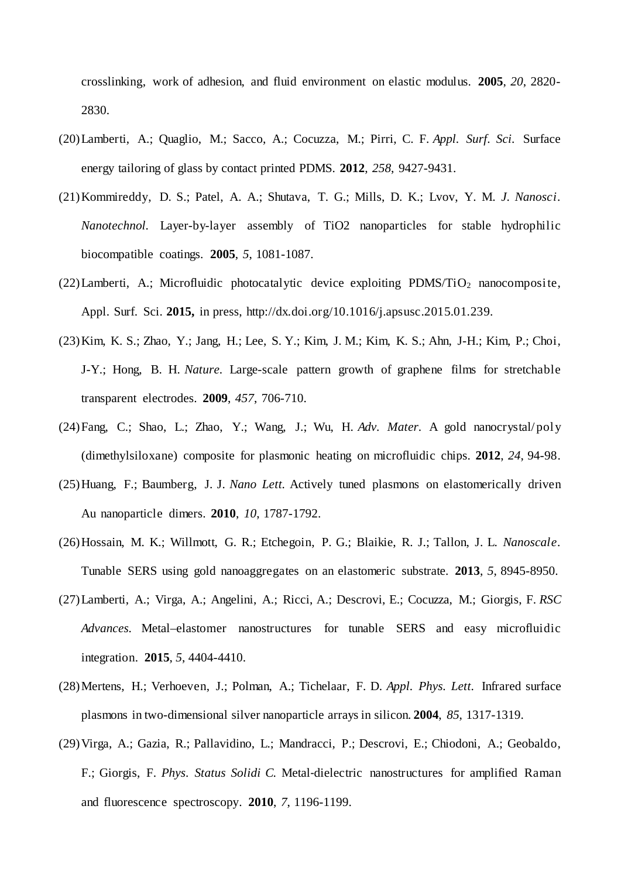crosslinking, work of adhesion, and fluid environment on elastic modulus. **2005**, *20*, 2820- 2830.

- (20)Lamberti, A.; Quaglio, M.; Sacco, A.; Cocuzza, M.; Pirri, C. F. *Appl. Surf. Sci.* Surface energy tailoring of glass by contact printed PDMS. **2012**, *258*, 9427-9431.
- (21)Kommireddy, D. S.; Patel, A. A.; Shutava, T. G.; Mills, D. K.; Lvov, Y. M. *J. Nanosci. Nanotechnol.* Layer-by-layer assembly of TiO2 nanoparticles for stable hydrophilic biocompatible coatings. **2005**, *5*, 1081-1087.
- (22) Lamberti, A.; Microfluidic photocatalytic device exploiting PDMS/TiO<sub>2</sub> nanocomposite, Appl. Surf. Sci. **2015,** in press, http://dx.doi.org/10.1016/j.apsusc.2015.01.239.
- (23)Kim, K. S.; Zhao, Y.; Jang, H.; Lee, S. Y.; Kim, J. M.; Kim, K. S.; Ahn, J-H.; Kim, P.; Choi, J-Y.; Hong, B. H. *Nature.* Large-scale pattern growth of graphene films for stretchable transparent electrodes. **2009**, *457*, 706-710.
- (24)Fang, C.; Shao, L.; Zhao, Y.; Wang, J.; Wu, H. *Adv. Mater.* A gold nanocrystal/poly (dimethylsiloxane) composite for plasmonic heating on microfluidic chips. **2012**, *24*, 94-98.
- (25)Huang, F.; Baumberg, J. J. *Nano Lett.* Actively tuned plasmons on elastomerically driven Au nanoparticle dimers. **2010**, *10*, 1787-1792.
- (26)Hossain, M. K.; Willmott, G. R.; Etchegoin, P. G.; Blaikie, R. J.; Tallon, J. L. *Nanoscale.*  Tunable SERS using gold nanoaggregates on an elastomeric substrate. **2013**, *5*, 8945-8950.
- (27)Lamberti, A.; Virga, A.; Angelini, A.; Ricci, A.; Descrovi, E.; Cocuzza, M.; Giorgis, F. *RSC Advances.* Metal–elastomer nanostructures for tunable SERS and easy microfluidic integration. **2015**, *5*, 4404-4410.
- (28)Mertens, H.; Verhoeven, J.; Polman, A.; Tichelaar, F. D. *Appl. Phys. Lett.* Infrared surface plasmons in two-dimensional silver nanoparticle arrays in silicon. **2004**, *85*, 1317-1319.
- (29)Virga, A.; Gazia, R.; Pallavidino, L.; Mandracci, P.; Descrovi, E.; Chiodoni, A.; Geobaldo, F.; Giorgis, F. *Phys. Status Solidi C.* Metal‐dielectric nanostructures for amplified Raman and fluorescence spectroscopy. **2010**, *7*, 1196-1199.